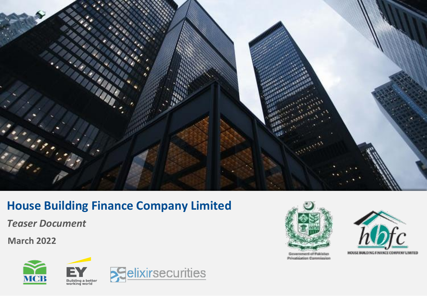

# **House Building Finance Company Limited**

*Teaser Document*

**March 2022**









Government of Pakistan **Privatisation Commission** 

HOUSE BUILDING FINANCE COMPANY LIMITED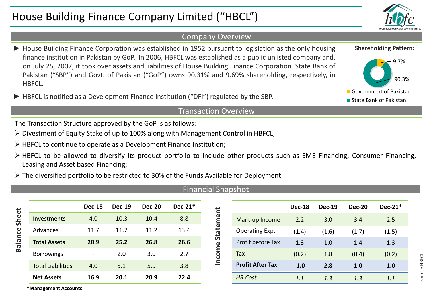# House Building Finance Company Limited ("HBCL")

# Company Overview

- ► House Building Finance Corporation was established in 1952 pursuant to legislation as the only housing finance institution in Pakistan by GoP. In 2006, HBFCL was established as a public unlisted company and, on July 25, 2007, it took over assets and liabilities of House Building Finance Corporation. State Bank of Pakistan ("SBP") and Govt. of Pakistan ("GoP") owns 90.31% and 9.69% shareholding, respectively, in HBFCL.
- ► HBFCL is notified as a Development Finance Institution ("DFI") regulated by the SBP.

## Transaction Overview

The Transaction Structure approved by the GoP is as follows:

- ➢ Divestment of Equity Stake of up to 100% along with Management Control in HBFCL;
- ➢ HBFCL to continue to operate as a Development Finance Institution;
- ➢ HBFCL to be allowed to diversify its product portfolio to include other products such as SME Financing, Consumer Financing, Leasing and Asset based Financing;
- ➢ The diversified portfolio to be restricted to 30% of the Funds Available for Deployment.

### Financial Snapshot

| Sheet<br><b>Balance</b> |                          | <b>Dec-18</b>            | <b>Dec-19</b> | <b>Dec-20</b> | $Dec-21*$ | ent<br><b>State</b><br>$\omega$ |                         | <b>Dec-18</b> | <b>Dec-19</b> | <b>Dec-20</b> | <b>Dec-21</b> |
|-------------------------|--------------------------|--------------------------|---------------|---------------|-----------|---------------------------------|-------------------------|---------------|---------------|---------------|---------------|
|                         | <b>Investments</b>       | 4.0                      | 10.3          | 10.4          | 8.8       |                                 | Mark-up Income          | 2.2           | 3.0           | 3.4           | 2.5           |
|                         | Advances                 | 11.7                     | 11.7          | 11.2          | 13.4      |                                 | Operating Exp.          | (1.4)         | (1.6)         | (1.7)         | (1.5)         |
|                         | <b>Total Assets</b>      | 20.9                     | 25.2          | 26.8          | 26.6      |                                 | Profit before Tax       | 1.3           | 1.0           | 1.4           | 1.3           |
|                         | <b>Borrowings</b>        | $\overline{\phantom{a}}$ | 2.0           | 3.0           | 2.7       | <b>COM</b>                      | Tax                     | (0.2)         | 1.8           | (0.4)         | (0.2)         |
|                         | <b>Total Liabilities</b> | 4.0                      | 5.1           | 5.9           | 3.8       | È                               | <b>Profit After Tax</b> | 1.0           | 2.8           | 1.0           | 1.0           |
|                         | <b>Net Assets</b>        | 16.9                     | 20.1          | 20.9          | 22.4      |                                 | <b>HR Cost</b>          | 1.1           | 1.3           | 1.3           | 1.1           |

**\*Management Accounts**







**Dec-18 Dec-19 Dec-20 Dec-21\***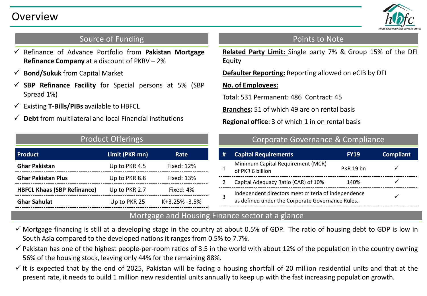

# Source of Funding

- ✓ Refinance of Advance Portfolio from **Pakistan Mortgage Refinance Company** at a discount of PKRV – 2%
- ✓ **Bond/Sukuk** from Capital Market
- ✓ **SBP Refinance Facility** for Special persons at 5% (SBP Spread 1%)
- ✓ Existing **T-Bills/PIBs** available to HBFCL
- ✓ **Debt** from multilateral and local Financial institutions

| <b>Product Offerings</b>           |                |                   |  |  |  |
|------------------------------------|----------------|-------------------|--|--|--|
| Product                            | Limit (PKR mn) | Rate              |  |  |  |
| <b>Ghar Pakistan</b>               | Up to PKR 4.5  | <b>Fixed: 12%</b> |  |  |  |
| <b>Ghar Pakistan Plus</b>          | Up to PKR 8.8  | <b>Fixed: 13%</b> |  |  |  |
| <b>HBFCL Khaas (SBP Refinance)</b> | Up to PKR 2.7  | Fixed: 4%         |  |  |  |
| <b>Ghar Sahulat</b>                | Up to PKR 25   | $K+3.25% -3.5%$   |  |  |  |

# Points to Note

**Related Party Limit:** Single party 7% & Group 15% of the DFI Equity

**Defaulter Reporting:** Reporting allowed on eCIB by DFI

# **No. of Employees:**

Total: 531 Permanent: 486 Contract: 45

**Branches:** 51 of which 49 are on rental basis

**Regional office**: 3 of which 1 in on rental basis

# Corporate Governance & Compliance

| # | <b>Capital Requirements</b>                                                                             | <b>FY19</b>      | <b>Compliant</b> |
|---|---------------------------------------------------------------------------------------------------------|------------------|------------------|
|   | Minimum Capital Requirement (MCR)<br>of PKR 6 billion                                                   | <b>PKR 19 bn</b> |                  |
|   | Capital Adequacy Ratio (CAR) of 10%                                                                     | 140%             |                  |
|   | Independent directors meet criteria of independence<br>as defined under the Corporate Governance Rules. |                  |                  |

# Mortgage and Housing Finance sector at a glance

- $\checkmark$  Mortgage financing is still at a developing stage in the country at about 0.5% of GDP. The ratio of housing debt to GDP is low in South Asia compared to the developed nations it ranges from 0.5% to 7.7%.
- $\checkmark$  Pakistan has one of the highest people-per-room ratios of 3.5 in the world with about 12% of the population in the country owning 56% of the housing stock, leaving only 44% for the remaining 88%.
- $\checkmark$  It is expected that by the end of 2025, Pakistan will be facing a housing shortfall of 20 million residential units and that at the present rate, it needs to build 1 million new residential units annually to keep up with the fast increasing population growth.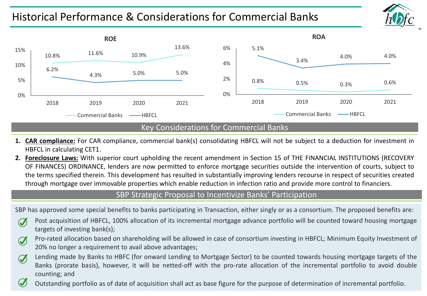# Historical Performance & Considerations for Commercial Banks



- **1. CAR compliance:** For CAR compliance, commercial bank(s) consolidating HBFCL will not be subject to a deduction for investment in HBFCL in calculating CET1.
- **2. Foreclosure Laws:** With superior court upholding the recent amendment in Section 15 of THE FINANCIAL INSTITUTIONS (RECOVERY OF FINANCES) ORDINANCE, lenders are now permitted to enforce mortgage securities outside the intervention of courts, subject to the terms specified therein. This development has resulted in substantially improving lenders recourse in respect of securities created through mortgage over immovable properties which enable reduction in infection ratio and provide more control to financiers.

# SBP Strategic Proposal to Incentivize Banks' Participation

SBP has approved some special benefits to banks participating in Transaction, either singly or as a consortium. The proposed benefits are:

- Post acquisition of HBFCL, 100% allocation of its incremental mortgage advance portfolio will be counted toward housing mortgage  $\bm{C}$ targets of investing bank(s);
- Pro-rated allocation based on shareholding will be allowed in case of consortium investing in HBFCL; Minimum Equity Investment of  $\bm{\sigma}$ 20% no longer a requirement to avail above advantages;
- Lending made by Banks to HBFC (for onward Lending to Mortgage Sector) to be counted towards housing mortgage targets of the  $\bm{\sigma}$ Banks (prorate basis), however, it will be netted-off with the pro-rate allocation of the incremental portfolio to avoid double counting; and

Outstanding portfolio as of date of acquisition shall act as base figure for the purpose of determination of incremental portfolio.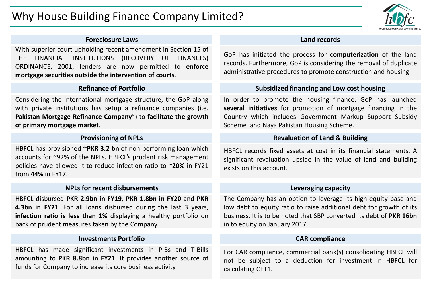

#### **Foreclosure Laws**

With superior court upholding recent amendment in Section 15 of THE FINANCIAL INSTITUTIONS (RECOVERY OF FINANCES) ORDINANCE, 2001, lenders are now permitted to **enforce mortgage securities outside the intervention of courts**.

# **Refinance of Portfolio**

Considering the international mortgage structure, the GoP along with private institutions has setup a refinance companies (i.e. **Pakistan Mortgage Refinance Company**") to **facilitate the growth of primary mortgage market**.

### **Provisioning of NPLs**

HBFCL has provisioned **~PKR 3.2 bn** of non-performing loan which accounts for ~92% of the NPLs. HBFCL's prudent risk management policies have allowed it to reduce infection ratio to ~**20%** in FY21 from **44%** in FY17.

#### **NPLs for recent disbursements**

HBFCL disbursed **PKR 2.9bn in FY19**, **PKR 1.8bn in FY20** and **PKR 4.3bn in FY21**. For all loans disbursed during the last 3 years, **infection ratio is less than 1%** displaying a healthy portfolio on back of prudent measures taken by the Company.

# **Investments Portfolio**

HBFCL has made significant investments in PIBs and T-Bills amounting to **PKR 8.8bn in FY21**. It provides another source of funds for Company to increase its core business activity.

## **Land records**

GoP has initiated the process for **computerization** of the land records. Furthermore, GoP is considering the removal of duplicate administrative procedures to promote construction and housing.

# **Subsidized financing and Low cost housing**

In order to promote the housing finance, GoP has launched **several initiatives** for promotion of mortgage financing in the Country which includes Government Markup Support Subsidy Scheme and Naya Pakistan Housing Scheme.

## **Revaluation of Land & Building**

HBFCL records fixed assets at cost in its financial statements. A significant revaluation upside in the value of land and building exists on this account.

### **Leveraging capacity**

The Company has an option to leverage its high equity base and low debt to equity ratio to raise additional debt for growth of its business. It is to be noted that SBP converted its debt of **PKR 16bn** in to equity on January 2017.

# **CAR compliance**

For CAR compliance, commercial bank(s) consolidating HBFCL will not be subject to a deduction for investment in HBFCL for calculating CET1.